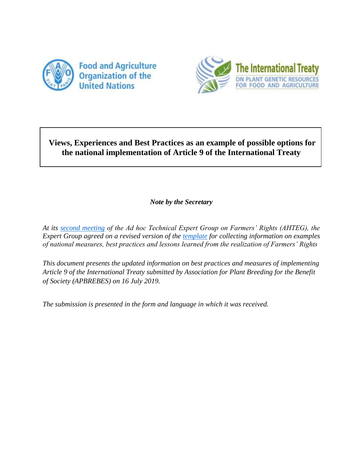



# **Views, Experiences and Best Practices as an example of possible options for the national implementation of Article 9 of the International Treaty**

# *Note by the Secretary*

*At its [second meeting](http://www.fao.org/3/ca4906en/ca4906en.pdf) of the Ad hoc Technical Expert Group on Farmers' Rights (AHTEG), the Expert Group agreed on a revised version of the [template](http://www.fao.org/3/ca4907en/ca4907en.docx) for collecting information on examples of national measures, best practices and lessons learned from the realization of Farmers' Rights*

*This document presents the updated information on best practices and measures of implementing Article 9 of the International Treaty submitted by Association for Plant Breeding for the Benefit of Society (APBREBES) on 16 July 2019.* 

*The submission is presented in the form and language in which it was received.*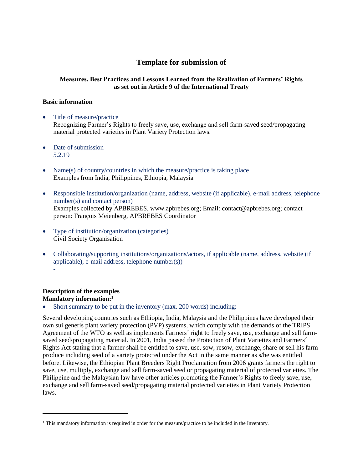# **Template for submission of**

# **Measures, Best Practices and Lessons Learned from the Realization of Farmers' Rights as set out in Article 9 of the International Treaty**

#### **Basic information**

- Title of measure/practice Recognizing Farmer's Rights to freely save, use, exchange and sell farm-saved seed/propagating material protected varieties in Plant Variety Protection laws.
- Date of submission 5.2.19
- Name(s) of country/countries in which the measure/practice is taking place Examples from India, Philippines, Ethiopia, Malaysia
- Responsible institution/organization (name, address, website (if applicable), e-mail address, telephone number(s) and contact person) Examples collected by APBREBES, [www.apbrebes.org;](http://www.apbrebes.org/) Email: [contact@apbrebes.org;](mailto:contact@apbrebes.org) contact person: François Meienberg, APBREBES Coordinator
- Type of institution/organization (categories) Civil Society Organisation
- Collaborating/supporting institutions/organizations/actors, if applicable (name, address, website (if applicable), e-mail address, telephone number(s)) -

### **Description of the examples Mandatory information:<sup>1</sup>**

 $\overline{a}$ 

Short summary to be put in the inventory (max. 200 words) including:

Several developing countries such as Ethiopia, India, Malaysia and the Philippines have developed their own sui generis plant variety protection (PVP) systems, which comply with the demands of the TRIPS Agreement of the WTO as well as implements Farmers´ right to freely save, use, exchange and sell farmsaved seed/propagating material. In 2001, India passed the Protection of Plant Varieties and Farmers´ Rights Act stating that a farmer shall be entitled to save, use, sow, resow, exchange, share or sell his farm produce including seed of a variety protected under the Act in the same manner as s/he was entitled before. Likewise, the Ethiopian Plant Breeders Right Proclamation from 2006 grants farmers the right to save, use, multiply, exchange and sell farm-saved seed or propagating material of protected varieties. The Philippine and the Malaysian law have other articles promoting the Farmer's Rights to freely save, use, exchange and sell farm-saved seed/propagating material protected varieties in Plant Variety Protection laws.

<sup>&</sup>lt;sup>1</sup> This mandatory information is required in order for the measure/practice to be included in the Inventory.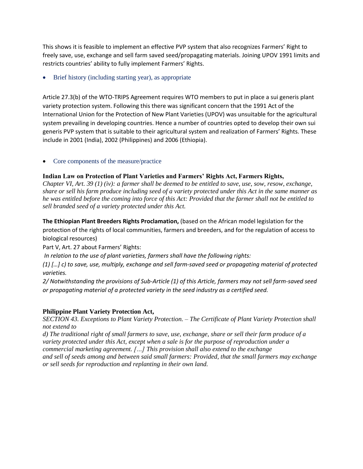This shows it is feasible to implement an effective PVP system that also recognizes Farmers' Right to freely save, use, exchange and sell farm saved seed/propagating materials. Joining UPOV 1991 limits and restricts countries' ability to fully implement Farmers' Rights.

# Brief history (including starting year), as appropriate

Article 27.3(b) of the WTO-TRIPS Agreement requires WTO members to put in place a sui generis plant variety protection system. Following this there was significant concern that the 1991 Act of the International Union for the Protection of New Plant Varieties (UPOV) was unsuitable for the agricultural system prevailing in developing countries. Hence a number of countries opted to develop their own sui generis PVP system that is suitable to their agricultural system and realization of Farmers' Rights. These include in 2001 (India), 2002 (Philippines) and 2006 (Ethiopia).

# Core components of the measure/practice

# **Indian Law on Protection of Plant Varieties and Farmers' Rights Act, Farmers Rights,**

*Chapter VI, Art. 39 (1) (iv): a farmer shall be deemed to be entitled to save, use, sow, resow, exchange, share or sell his farm produce including seed of a variety protected under this Act in the same manner as he was entitled before the coming into force of this Act: Provided that the farmer shall not be entitled to sell branded seed of a variety protected under this Act.*

**The Ethiopian Plant Breeders Rights Proclamation,** (based on the African model legislation for the protection of the rights of local communities, farmers and breeders, and for the regulation of access to biological resources)

Part V, Art. 27 about Farmers' Rights:

*In relation to the use of plant varieties, farmers shall have the following rights:*

*(1) […] c) to save, use, multiply, exchange and sell farm-saved seed or propagating material of protected varieties.*

*2/ Notwithstanding the provisions of Sub-Article (1) of this Article, farmers may not sell farm-saved seed or propagating material of a protected variety in the seed industry as a certified seed.*

### **Philippine Plant Variety Protection Act,**

*SECTION 43. Exceptions to Plant Variety Protection. – The Certificate of Plant Variety Protection shall not extend to*

d) The traditional right of small farmers to save, use, exchange, share or sell their farm produce of a *variety protected under this Act, except when a sale is for the purpose of reproduction under a commercial marketing agreement. […] This provision shall also extend to the exchange and sell of seeds among and between said small farmers: Provided, that the small farmers may exchange or sell seeds for reproduction and replanting in their own land.*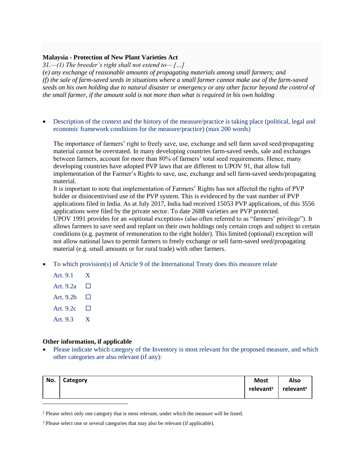### **Malaysia - Protection of New Plant Varieties Act**

*31.—(1) The breeder's right shall not extend to— […]*

*(e) any exchange of reasonable amounts of propagating materials among small farmers; and (f) the sale of farm-saved seeds in situations where a small farmer cannot make use of the farm-saved seeds on his own holding due to natural disaster or emergency or any other factor beyond the control of the small farmer, if the amount sold is not more than what is required in his own holding*

 Description of the context and the history of the measure/practice is taking place (political, legal and economic framework conditions for the measure/practice) (max 200 words)

The importance of farmers' right to freely save, use, exchange and sell farm saved seed/propagating material cannot be overstated. In many developing countries farm-saved seeds, sale and exchanges between farmers, account for more than 80% of farmers' total seed requirements. Hence, many developing countries have adopted PVP laws that are different to UPOV 91, that allow full implementation of the Farmer's Rights to save, use, exchange and sell farm-saved seeds/propagating material.

It is important to note that implementation of Farmers' Rights has not affected the rights of PVP holder or disincentivised use of the PVP system. This is evidenced by the vast number of PVP applications filed in India. As at July 2017, India had received 15053 PVP applications, of this 3556 applications were filed by the private sector. To date 2688 varieties are PVP protected. UPOV 1991 provides for an «optional exception» (also often referred to as "farmers' privilege"). It allows farmers to save seed and replant on their own holdings only certain crops and subject to certain conditions (e.g. payment of remuneration to the right holder). This limited (optional) exception will not allow national laws to permit farmers to freely exchange or sell farm-saved seed/propagating material (e.g. small amounts or for rural trade) with other farmers.

- To which provision(s) of Article 9 of the International Treaty does this measure relate
	- Art. 9.1 X Art.  $9.2a$   $\Box$
	- Art.  $9.2b$   $\Box$
	- Art.  $9.2c$   $\Box$
	- Art.  $9.3$  X

 $\overline{\phantom{a}}$ 

### **Other information, if applicable**

 Please indicate which category of the Inventory is most relevant for the proposed measure, and which other categories are also relevant (if any):

| No. | Category | <b>Most</b>           | Also                  |
|-----|----------|-----------------------|-----------------------|
|     |          | relevant <sup>2</sup> | relevant <sup>3</sup> |
|     |          |                       |                       |

<sup>2</sup> Please select only one category that is most relevant, under which the measure will be listed.

<sup>3</sup> Please select one or several categories that may also be relevant (if applicable).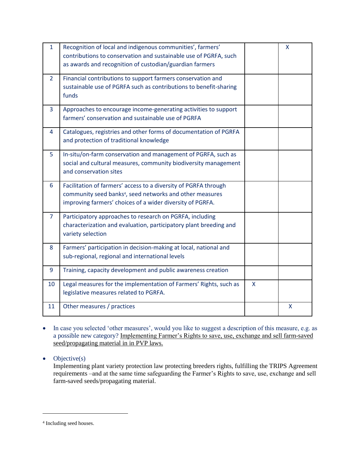| $\mathbf{1}$   | Recognition of local and indigenous communities', farmers'<br>contributions to conservation and sustainable use of PGRFA, such<br>as awards and recognition of custodian/guardian farmers            |   | X |
|----------------|------------------------------------------------------------------------------------------------------------------------------------------------------------------------------------------------------|---|---|
| $\overline{2}$ | Financial contributions to support farmers conservation and<br>sustainable use of PGRFA such as contributions to benefit-sharing<br>funds                                                            |   |   |
| 3              | Approaches to encourage income-generating activities to support<br>farmers' conservation and sustainable use of PGRFA                                                                                |   |   |
| $\overline{4}$ | Catalogues, registries and other forms of documentation of PGRFA<br>and protection of traditional knowledge                                                                                          |   |   |
| 5              | In-situ/on-farm conservation and management of PGRFA, such as<br>social and cultural measures, community biodiversity management<br>and conservation sites                                           |   |   |
| 6              | Facilitation of farmers' access to a diversity of PGRFA through<br>community seed banks <sup>4</sup> , seed networks and other measures<br>improving farmers' choices of a wider diversity of PGRFA. |   |   |
| $\overline{7}$ | Participatory approaches to research on PGRFA, including<br>characterization and evaluation, participatory plant breeding and<br>variety selection                                                   |   |   |
| 8              | Farmers' participation in decision-making at local, national and<br>sub-regional, regional and international levels                                                                                  |   |   |
| 9              | Training, capacity development and public awareness creation                                                                                                                                         |   |   |
| 10             | Legal measures for the implementation of Farmers' Rights, such as<br>legislative measures related to PGRFA.                                                                                          | X |   |
| 11             | Other measures / practices                                                                                                                                                                           |   | X |

 In case you selected 'other measures', would you like to suggest a description of this measure, e.g. as a possible new category? Implementing Farmer's Rights to save, use, exchange and sell farm-saved seed/propagating material in in PVP laws.

 $\bullet$  Objective(s)

Implementing plant variety protection law protecting breeders rights, fulfilling the TRIPS Agreement requirements –and at the same time safeguarding the Farmer's Rights to save, use, exchange and sell farm-saved seeds/propagating material.

 $\overline{a}$ 

<sup>4</sup> Including seed houses.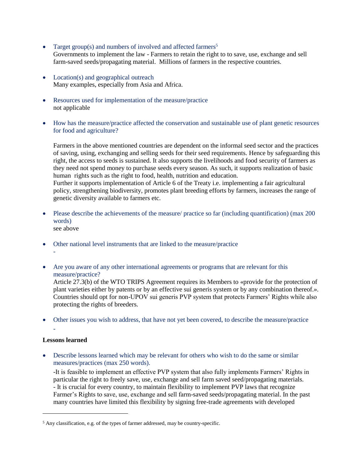- Target group(s) and numbers of involved and affected farmers<sup>5</sup> Governments to implement the law - Farmers to retain the right to to save, use, exchange and sell farm-saved seeds/propagating material. Millions of farmers in the respective countries.
- Location(s) and geographical outreach Many examples, especially from Asia and Africa.
- Resources used for implementation of the measure/practice not applicable
- How has the measure/practice affected the conservation and sustainable use of plant genetic resources for food and agriculture?

Farmers in the above mentioned countries are dependent on the informal seed sector and the practices of saving, using, exchanging and selling seeds for their seed requirements. Hence by safeguarding this right, the access to seeds is sustained. It also supports the livelihoods and food security of farmers as they need not spend money to purchase seeds every season. As such, it supports realization of basic human rights such as the right to food, health, nutrition and education. Further it supports implementation of Article 6 of the Treaty i.e. implementing a fair agricultural policy, strengthening biodiversity, promotes plant breeding efforts by farmers, increases the range of genetic diversity available to farmers etc.

- Please describe the achievements of the measure/ practice so far (including quantification) (max 200 words) see above
- Other national level instruments that are linked to the measure/practice -
- Are you aware of any other international agreements or programs that are relevant for this measure/practice?

Article 27.3(b) of the WTO TRIPS Agreement requires its Members to «provide for the protection of plant varieties either by patents or by an effective sui generis system or by any combination thereof.». Countries should opt for non-UPOV sui generis PVP system that protects Farmers' Rights while also protecting the rights of breeders.

Other issues you wish to address, that have not yet been covered, to describe the measure/practice

### **Lessons learned**

-

 $\overline{a}$ 

 Describe lessons learned which may be relevant for others who wish to do the same or similar measures/practices (max 250 words).

-It is feasible to implement an effective PVP system that also fully implements Farmers' Rights in particular the right to freely save, use, exchange and sell farm saved seed/propagating materials. - It is crucial for every country, to maintain flexibility to implement PVP laws that recognize Farmer's Rights to save, use, exchange and sell farm-saved seeds/propagating material. In the past many countries have limited this flexibility by signing free-trade agreements with developed

<sup>5</sup> Any classification, e.g. of the types of farmer addressed, may be country-specific.